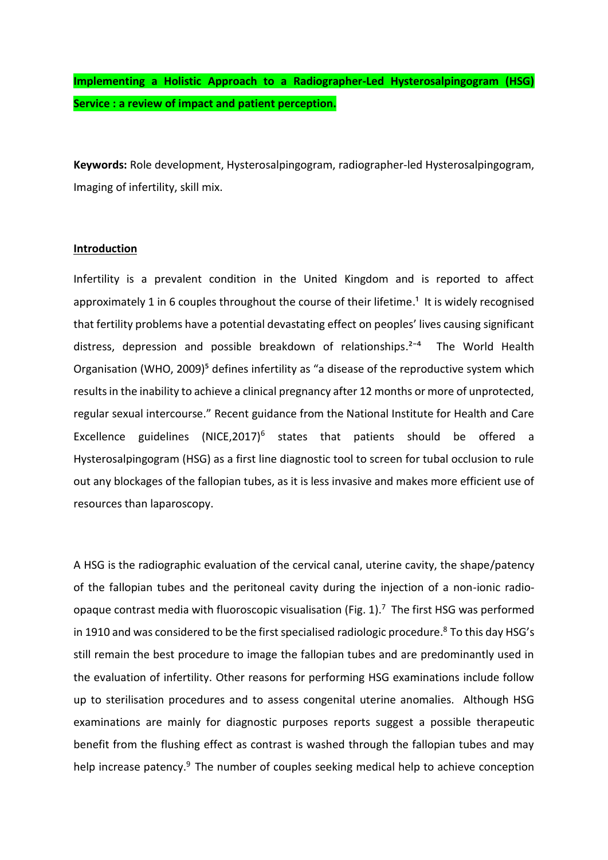**Implementing a Holistic Approach to a Radiographer-Led Hysterosalpingogram (HSG) Service : a review of impact and patient perception.**

**Keywords:** Role development, Hysterosalpingogram, radiographer-led Hysterosalpingogram, Imaging of infertility, skill mix.

### **Introduction**

Infertility is a prevalent condition in the United Kingdom and is reported to affect approximately 1 in 6 couples throughout the course of their lifetime.<sup>1</sup> It is widely recognised that fertility problems have a potential devastating effect on peoples' lives causing significant distress, depression and possible breakdown of relationships.<sup>2-4</sup> The World Health Organisation (WHO, 2009)<sup>5</sup> defines infertility as "a disease of the reproductive system which results in the inability to achieve a clinical pregnancy after 12 months or more of unprotected, regular sexual intercourse." Recent guidance from the National Institute for Health and Care Excellence guidelines (NICE,2017)<sup>6</sup> states that patients should be offered a Hysterosalpingogram (HSG) as a first line diagnostic tool to screen for tubal occlusion to rule out any blockages of the fallopian tubes, as it is less invasive and makes more efficient use of resources than laparoscopy.

A HSG is the radiographic evaluation of the cervical canal, uterine cavity, the shape/patency of the [fallopian tubes](http://en.wikipedia.org/wiki/Fallopian_tubes) and the peritoneal cavity during the injection of a non-ionic radioopaque contrast media with fluoroscopic visualisation (Fig. 1).<sup>7</sup> The first HSG was performed in 1910 and was considered to be the first specialised radiologic procedure.<sup>8</sup> To this day HSG's still remain the best procedure to image the fallopian tubes and are predominantly used in the evaluation of infertility. Other reasons for performing HSG examinations include follow up to sterilisation procedures and to assess congenital uterine anomalies. Although HSG examinations are mainly for diagnostic purposes reports suggest a possible therapeutic benefit from the flushing effect as contrast is washed through the fallopian tubes and may help increase patency.<sup>9</sup> The number of couples seeking medical help to achieve conception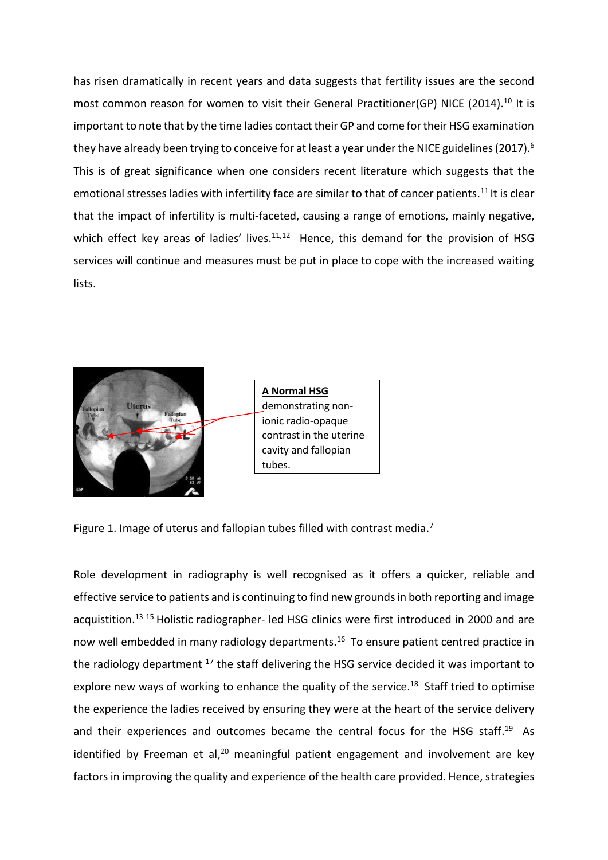has risen dramatically in recent years and data suggests that [fertility issues are the second](http://www.infertilitynetworkuk.com/nfaw/about/)  [most common reason for women to visit their General Pr](http://www.infertilitynetworkuk.com/nfaw/about/)actitioner(GP) NICE (2014).<sup>10</sup> It is important to note that by the time ladies contact their GP and come for their HSG examination they have already been trying to conceive for at least a year under the NICE guidelines (2017).  $\rm ^6$ This is of great significance when one considers recent literature which suggests that the emotional stresses ladies with infertility face are similar to that of cancer patients.<sup>11</sup> It is clear that the impact of infertility is multi-faceted, causing a range of emotions, mainly negative, which effect key areas of ladies' lives. $11,12$  Hence, this demand for the provision of HSG services will continue and measures must be put in place to cope with the increased waiting lists.



**A Normal HSG** demonstrating nonionic radio-opaque contrast in the uterine cavity and fallopian tubes.

Figure 1. Image of uterus and fallopian tubes filled with contrast media.<sup>7</sup>

Role development in radiography is well recognised as it offers a quicker, reliable and effective service to patients and is continuing to find new grounds in both reporting and image acquistition. 13-15 Holistic radiographer- led HSG clinics were first introduced in 2000 and are now well embedded in many radiology departments. <sup>16</sup> To ensure patient centred practice in the radiology department <sup>17</sup> the staff delivering the HSG service decided it was important to explore new ways of working to enhance the quality of the service.<sup>18</sup> Staff tried to optimise the experience the ladies received by ensuring they were at the heart of the service delivery and their experiences and outcomes became the central focus for the HSG staff.<sup>19</sup> As identified by Freeman et al,<sup>20</sup> meaningful patient engagement and involvement are key factors in improving the quality and experience of the health care provided. Hence, strategies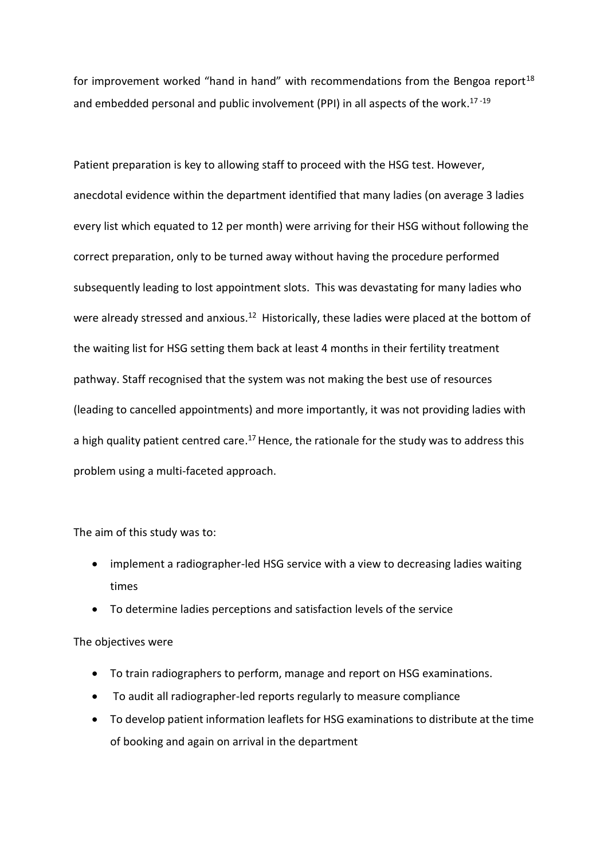for improvement worked "hand in hand" with recommendations from the Bengoa report<sup>18</sup> and embedded personal and public involvement (PPI) in all aspects of the work.<sup>17-19</sup>

Patient preparation is key to allowing staff to proceed with the HSG test. However, anecdotal evidence within the department identified that many ladies (on average 3 ladies every list which equated to 12 per month) were arriving for their HSG without following the correct preparation, only to be turned away without having the procedure performed subsequently leading to lost appointment slots. This was devastating for many ladies who were already stressed and anxious.<sup>12</sup> Historically, these ladies were placed at the bottom of the waiting list for HSG setting them back at least 4 months in their fertility treatment pathway. Staff recognised that the system was not making the best use of resources (leading to cancelled appointments) and more importantly, it was not providing ladies with a high quality patient centred care.<sup>17</sup> Hence, the rationale for the study was to address this problem using a multi-faceted approach.

### The aim of this study was to:

- implement a radiographer-led HSG service with a view to decreasing ladies waiting times
- To determine ladies perceptions and satisfaction levels of the service

### The objectives were

- To train radiographers to perform, manage and report on HSG examinations.
- To audit all radiographer-led reports regularly to measure compliance
- To develop patient information leaflets for HSG examinations to distribute at the time of booking and again on arrival in the department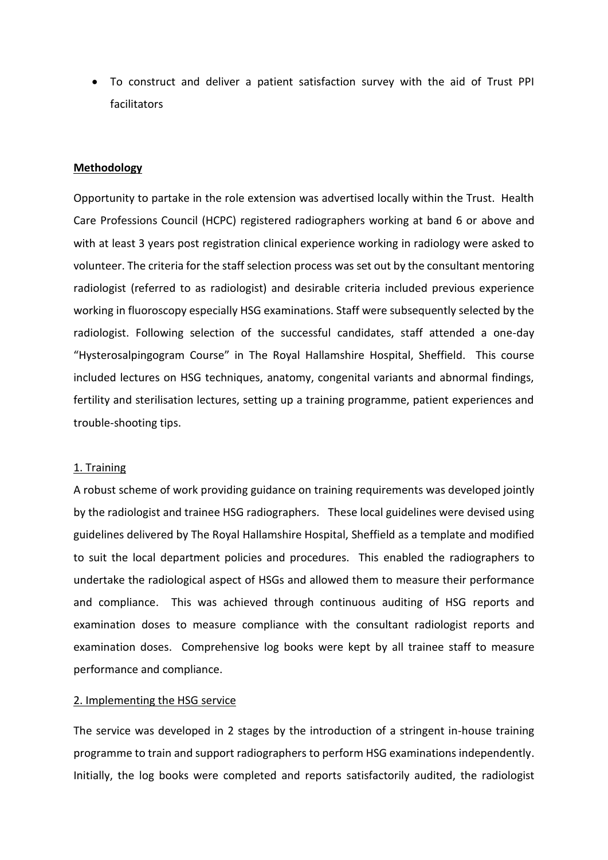• To construct and deliver a patient satisfaction survey with the aid of Trust PPI facilitators

### **Methodology**

Opportunity to partake in the role extension was advertised locally within the Trust. Health Care Professions Council (HCPC) registered radiographers working at band 6 or above and with at least 3 years post registration clinical experience working in radiology were asked to volunteer. The criteria for the staff selection process was set out by the consultant mentoring radiologist (referred to as radiologist) and desirable criteria included previous experience working in fluoroscopy especially HSG examinations. Staff were subsequently selected by the radiologist. Following selection of the successful candidates, staff attended a one-day "Hysterosalpingogram Course" in The Royal Hallamshire Hospital, Sheffield. This course included lectures on HSG techniques, anatomy, congenital variants and abnormal findings, fertility and sterilisation lectures, setting up a training programme, patient experiences and trouble-shooting tips.

#### 1. Training

A robust scheme of work providing guidance on training requirements was developed jointly by the radiologist and trainee HSG radiographers. These local guidelines were devised using guidelines delivered by The Royal Hallamshire Hospital, Sheffield as a template and modified to suit the local department policies and procedures. This enabled the radiographers to undertake the radiological aspect of HSGs and allowed them to measure their performance and compliance. This was achieved through continuous auditing of HSG reports and examination doses to measure compliance with the consultant radiologist reports and examination doses. Comprehensive log books were kept by all trainee staff to measure performance and compliance.

### 2. Implementing the HSG service

The service was developed in 2 stages by the introduction of a stringent in-house training programme to train and support radiographers to perform HSG examinations independently. Initially, the log books were completed and reports satisfactorily audited, the radiologist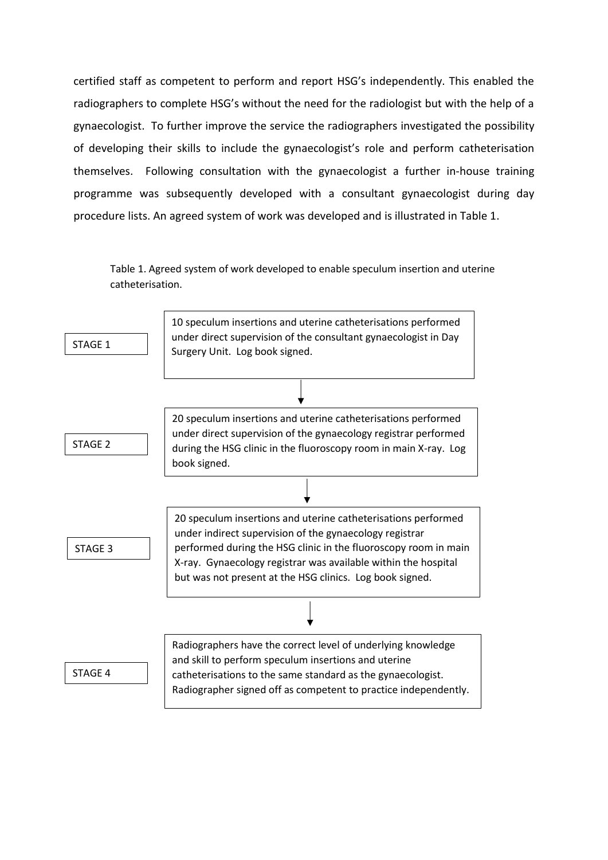certified staff as competent to perform and report HSG's independently. This enabled the radiographers to complete HSG's without the need for the radiologist but with the help of a gynaecologist. To further improve the service the radiographers investigated the possibility of developing their skills to include the gynaecologist's role and perform catheterisation themselves. Following consultation with the gynaecologist a further in-house training programme was subsequently developed with a consultant gynaecologist during day procedure lists. An agreed system of work was developed and is illustrated in Table 1.

Table 1. Agreed system of work developed to enable speculum insertion and uterine catheterisation.

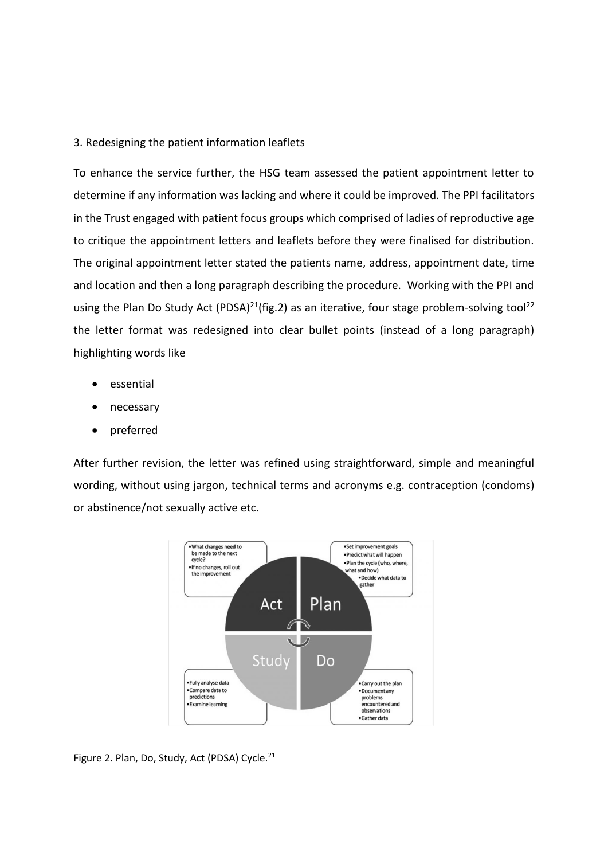### 3. Redesigning the patient information leaflets

To enhance the service further, the HSG team assessed the patient appointment letter to determine if any information was lacking and where it could be improved. The PPI facilitators in the Trust engaged with patient focus groups which comprised of ladies of reproductive age to critique the appointment letters and leaflets before they were finalised for distribution. The original appointment letter stated the patients name, address, appointment date, time and location and then a long paragraph describing the procedure. Working with the PPI and using the Plan Do Study Act (PDSA)<sup>21</sup>(fig.2) as an iterative, four stage problem-solving tool<sup>22</sup> the letter format was redesigned into clear bullet points (instead of a long paragraph) highlighting words like

- essential
- necessary
- preferred

After further revision, the letter was refined using straightforward, simple and meaningful wording, without using jargon, technical terms and acronyms e.g. contraception (condoms) or abstinence/not sexually active etc.



Figure 2. Plan, Do, Study, Act (PDSA) Cycle.<sup>21</sup>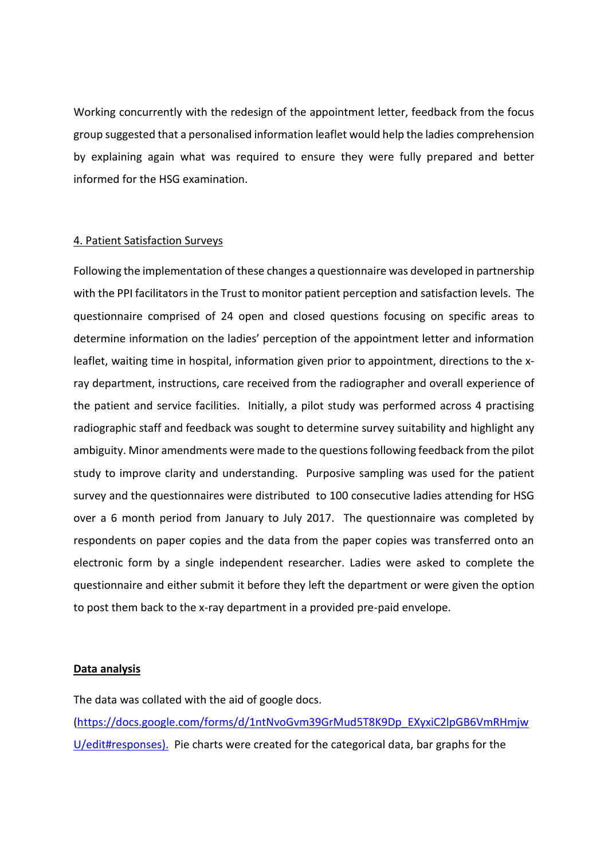Working concurrently with the redesign of the appointment letter, feedback from the focus group suggested that a personalised information leaflet would help the ladies comprehension by explaining again what was required to ensure they were fully prepared and better informed for the HSG examination.

### 4. Patient Satisfaction Surveys

Following the implementation of these changes a questionnaire was developed in partnership with the PPI facilitators in the Trust to monitor patient perception and satisfaction levels. The questionnaire comprised of 24 open and closed questions focusing on specific areas to determine information on the ladies' perception of the appointment letter and information leaflet, waiting time in hospital, information given prior to appointment, directions to the xray department, instructions, care received from the radiographer and overall experience of the patient and service facilities. Initially, a pilot study was performed across 4 practising radiographic staff and feedback was sought to determine survey suitability and highlight any ambiguity. Minor amendments were made to the questions following feedback from the pilot study to improve clarity and understanding. Purposive sampling was used for the patient survey and the questionnaires were distributed to 100 consecutive ladies attending for HSG over a 6 month period from January to July 2017. The questionnaire was completed by respondents on paper copies and the data from the paper copies was transferred onto an electronic form by a single independent researcher. Ladies were asked to complete the questionnaire and either submit it before they left the department or were given the option to post them back to the x-ray department in a provided pre-paid envelope.

### **Data analysis**

The data was collated with the aid of google docs. [\(https://docs.google.com/forms/d/1ntNvoGvm39GrMud5T8K9Dp\\_EXyxiC2lpGB6VmRHmjw](https://docs.google.com/forms/d/1ntNvoGvm39GrMud5T8K9Dp_EXyxiC2lpGB6VmRHmjwU/edit#responses)) [U/edit#responses\).](https://docs.google.com/forms/d/1ntNvoGvm39GrMud5T8K9Dp_EXyxiC2lpGB6VmRHmjwU/edit#responses)) Pie charts were created for the categorical data, bar graphs for the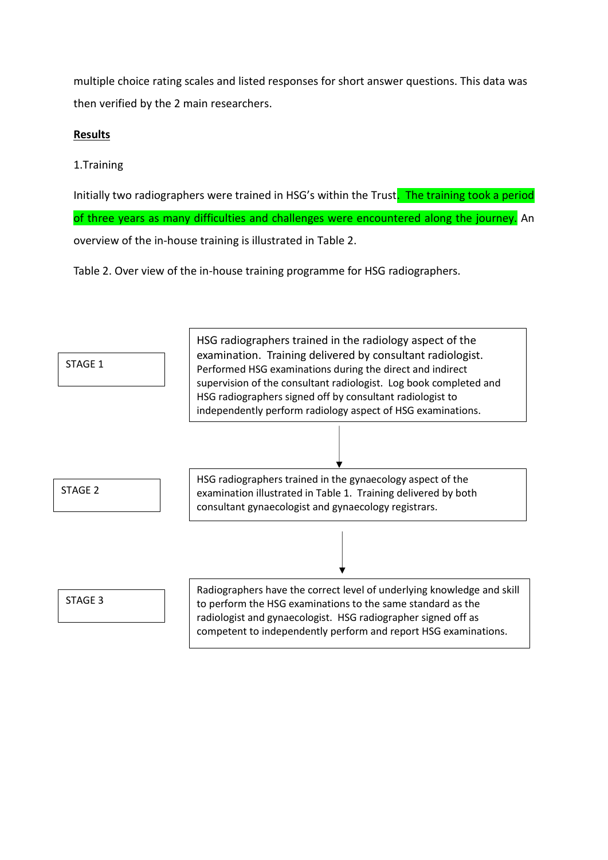multiple choice rating scales and listed responses for short answer questions. This data was then verified by the 2 main researchers.

## **Results**

# 1.Training

Initially two radiographers were trained in HSG's within the Trust. The training took a period of three years as many difficulties and challenges were encountered along the journey. An overview of the in-house training is illustrated in Table 2.

Table 2. Over view of the in-house training programme for HSG radiographers.

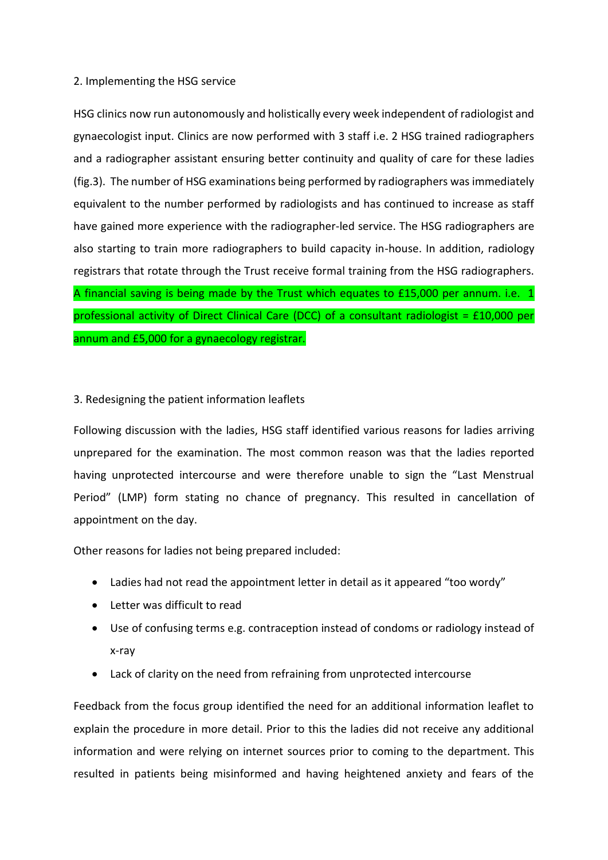## 2. Implementing the HSG service

HSG clinics now run autonomously and holistically every week independent of radiologist and gynaecologist input. Clinics are now performed with 3 staff i.e. 2 HSG trained radiographers and a radiographer assistant ensuring better continuity and quality of care for these ladies (fig.3). The number of HSG examinations being performed by radiographers was immediately equivalent to the number performed by radiologists and has continued to increase as staff have gained more experience with the radiographer-led service. The HSG radiographers are also starting to train more radiographers to build capacity in-house. In addition, radiology registrars that rotate through the Trust receive formal training from the HSG radiographers. A financial saving is being made by the Trust which equates to £15,000 per annum. i.e. 1 professional activity of Direct Clinical Care (DCC) of a consultant radiologist = £10,000 per annum and £5,000 for a gynaecology registrar.

## 3. Redesigning the patient information leaflets

Following discussion with the ladies, HSG staff identified various reasons for ladies arriving unprepared for the examination. The most common reason was that the ladies reported having unprotected intercourse and were therefore unable to sign the "Last Menstrual Period" (LMP) form stating no chance of pregnancy. This resulted in cancellation of appointment on the day.

Other reasons for ladies not being prepared included:

- Ladies had not read the appointment letter in detail as it appeared "too wordy"
- Letter was difficult to read
- Use of confusing terms e.g. contraception instead of condoms or radiology instead of x-ray
- Lack of clarity on the need from refraining from unprotected intercourse

Feedback from the focus group identified the need for an additional information leaflet to explain the procedure in more detail. Prior to this the ladies did not receive any additional information and were relying on internet sources prior to coming to the department. This resulted in patients being misinformed and having heightened anxiety and fears of the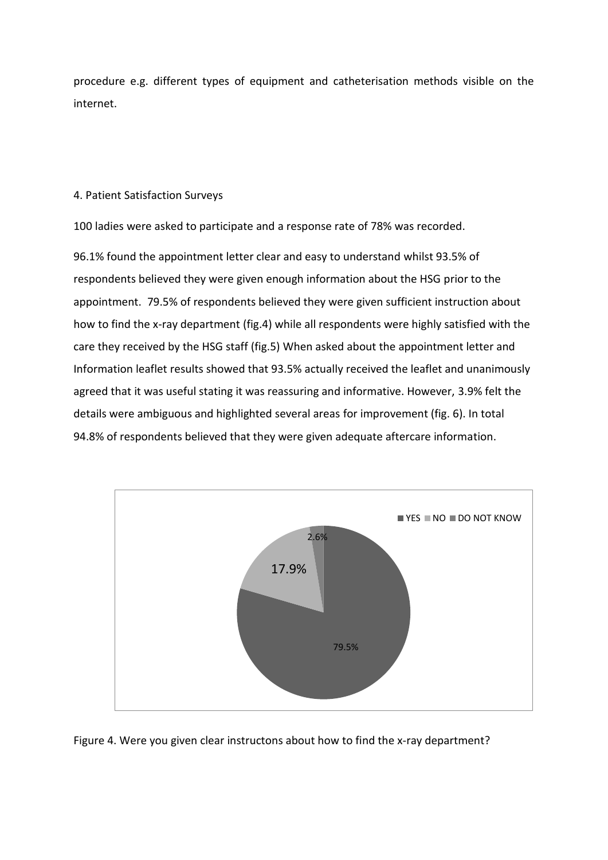procedure e.g. different types of equipment and catheterisation methods visible on the internet.

### 4. Patient Satisfaction Surveys

100 ladies were asked to participate and a response rate of 78% was recorded.

96.1% found the appointment letter clear and easy to understand whilst 93.5% of respondents believed they were given enough information about the HSG prior to the appointment. 79.5% of respondents believed they were given sufficient instruction about how to find the x-ray department (fig.4) while all respondents were highly satisfied with the care they received by the HSG staff (fig.5) When asked about the appointment letter and Information leaflet results showed that 93.5% actually received the leaflet and unanimously agreed that it was useful stating it was reassuring and informative. However, 3.9% felt the details were ambiguous and highlighted several areas for improvement (fig. 6). In total 94.8% of respondents believed that they were given adequate aftercare information.



Figure 4. Were you given clear instructons about how to find the x-ray department?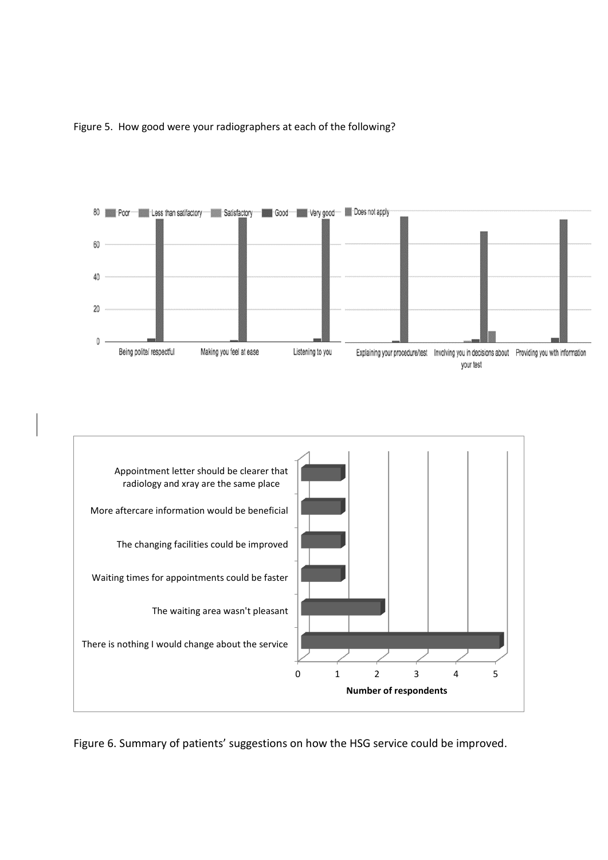

Figure 5. How good were your radiographers at each of the following?



Figure 6. Summary of patients' suggestions on how the HSG service could be improved.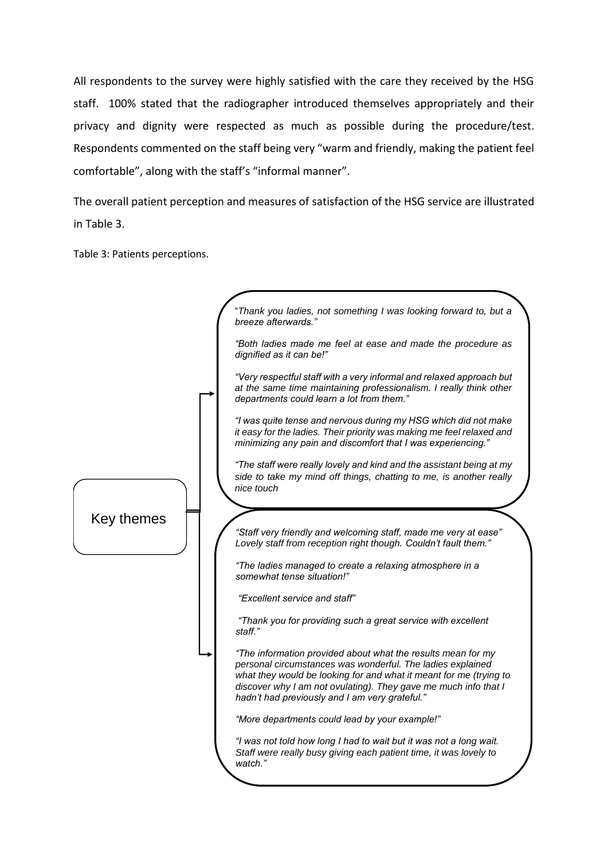All respondents to the survey were highly satisfied with the care they received by the HSG staff. 100% stated that the radiographer introduced themselves appropriately and their privacy and dignity were respected as much as possible during the procedure/test. Respondents commented on the staff being very "warm and friendly, making the patient feel comfortable", along with the staff's "informal manner".

The overall patient perception and measures of satisfaction of the HSG service are illustrated in Table 3.

Table 3: Patients perceptions.

|            | "Thank you ladies, not something I was looking forward to, but a<br>breeze afterwards."                                                                                                                                                                                                                               |
|------------|-----------------------------------------------------------------------------------------------------------------------------------------------------------------------------------------------------------------------------------------------------------------------------------------------------------------------|
|            | "Both ladies made me feel at ease and made the procedure as<br>dignified as it can be!"                                                                                                                                                                                                                               |
|            | "Very respectful staff with a very informal and relaxed approach but<br>at the same time maintaining professionalism. I really think other<br>departments could learn a lot from them."                                                                                                                               |
|            | "I was quite tense and nervous during my HSG which did not make<br>it easy for the ladies. Their priority was making me feel relaxed and<br>minimizing any pain and discomfort that I was experiencing."                                                                                                              |
|            | "The staff were really lovely and kind and the assistant being at my<br>side to take my mind off things, chatting to me, is another really<br>nice touch                                                                                                                                                              |
|            |                                                                                                                                                                                                                                                                                                                       |
| Key themes |                                                                                                                                                                                                                                                                                                                       |
|            | "Staff very friendly and welcoming staff, made me very at ease"<br>Lovely staff from reception right though. Couldn't fault them."                                                                                                                                                                                    |
|            | "The ladies managed to create a relaxing atmosphere in a<br>somewhat tense situation!"                                                                                                                                                                                                                                |
|            | "Excellent service and staff"                                                                                                                                                                                                                                                                                         |
|            | "Thank you for providing such a great service with excellent<br>staff."                                                                                                                                                                                                                                               |
|            | "The information provided about what the results mean for my<br>personal circumstances was wonderful. The ladies explained<br>what they would be looking for and what it meant for me (trying to<br>discover why I am not ovulating). They gave me much info that I<br>hadn't had previously and I am very grateful." |
|            | "More departments could lead by your example!"                                                                                                                                                                                                                                                                        |
|            | "I was not told how long I had to wait but it was not a long wait.<br>Staff were really busy giving each patient time, it was lovely to<br>watch."                                                                                                                                                                    |
|            |                                                                                                                                                                                                                                                                                                                       |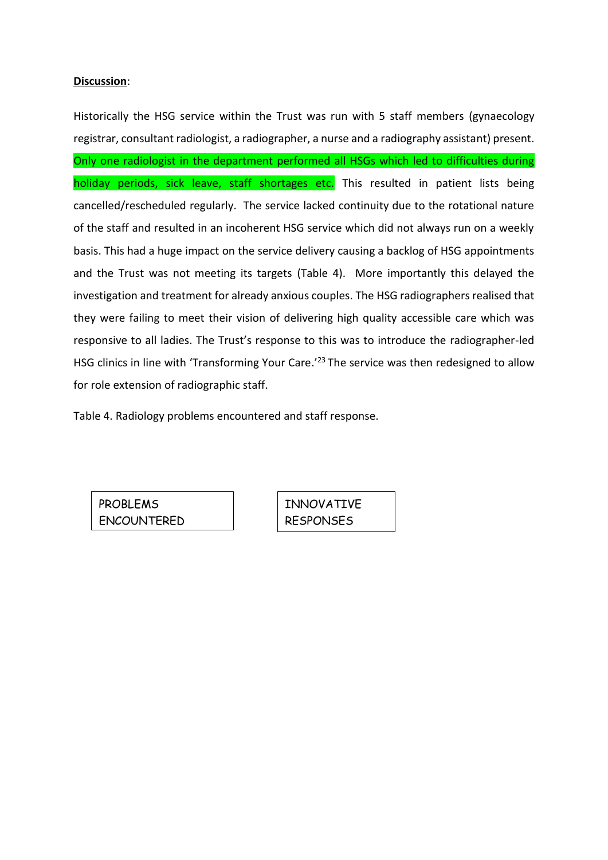### **Discussion**:

Historically the HSG service within the Trust was run with 5 staff members (gynaecology registrar, consultant radiologist, a radiographer, a nurse and a radiography assistant) present. Only one radiologist in the department performed all HSGs which led to difficulties during holiday periods, sick leave, staff shortages etc. This resulted in patient lists being cancelled/rescheduled regularly. The service lacked continuity due to the rotational nature of the staff and resulted in an incoherent HSG service which did not always run on a weekly basis. This had a huge impact on the service delivery causing a backlog of HSG appointments and the Trust was not meeting its targets (Table 4). More importantly this delayed the investigation and treatment for already anxious couples. The HSG radiographers realised that they were failing to meet their vision of delivering high quality accessible care which was responsive to all ladies. The Trust's response to this was to introduce the radiographer-led HSG clinics in line with 'Transforming Your Care.'<sup>23</sup> The service was then redesigned to allow for role extension of radiographic staff.

Table 4. Radiology problems encountered and staff response.

PROBLEMS ENCOUNTERED INNOVATIVE RESPONSES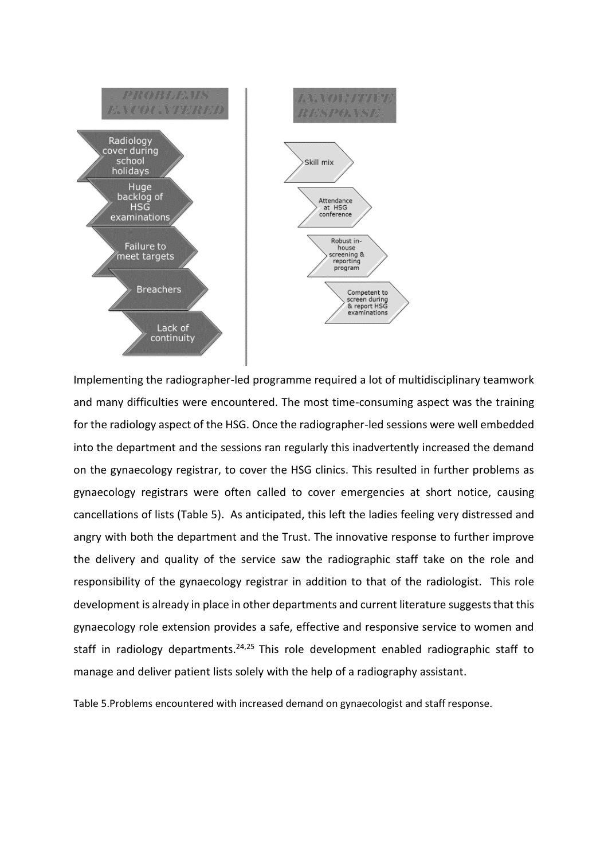

Implementing the radiographer-led programme required a lot of multidisciplinary teamwork and many difficulties were encountered. The most time-consuming aspect was the training for the radiology aspect of the HSG. Once the radiographer-led sessions were well embedded into the department and the sessions ran regularly this inadvertently increased the demand on the gynaecology registrar, to cover the HSG clinics. This resulted in further problems as gynaecology registrars were often called to cover emergencies at short notice, causing cancellations of lists (Table 5). As anticipated, this left the ladies feeling very distressed and angry with both the department and the Trust. The innovative response to further improve the delivery and quality of the service saw the radiographic staff take on the role and responsibility of the gynaecology registrar in addition to that of the radiologist. This role development is already in place in other departments and current literature suggests that this gynaecology role extension provides a safe, effective and responsive service to women and staff in radiology departments.<sup>24,25</sup> This role development enabled radiographic staff to manage and deliver patient lists solely with the help of a radiography assistant.

Table 5.Problems encountered with increased demand on gynaecologist and staff response.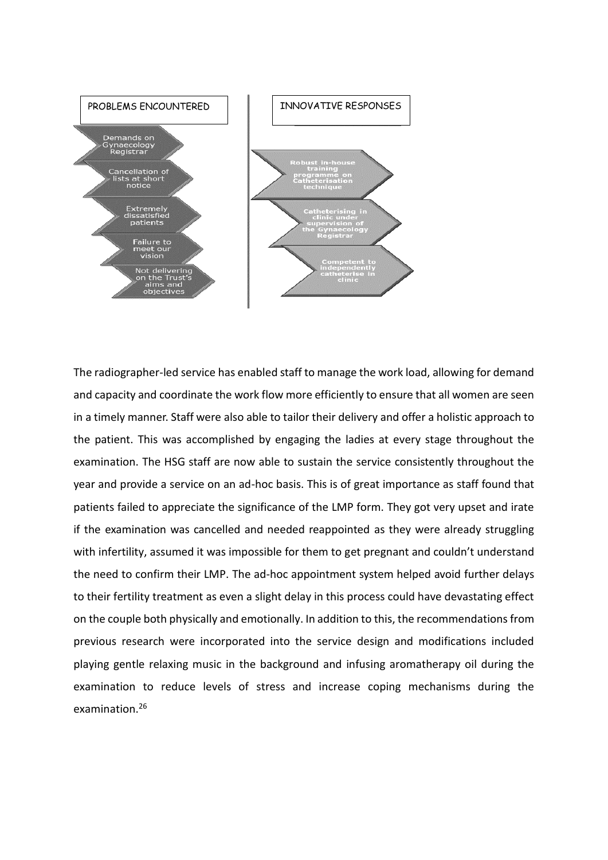

The radiographer-led service has enabled staff to manage the work load, allowing for demand and capacity and coordinate the work flow more efficiently to ensure that all women are seen in a timely manner. Staff were also able to tailor their delivery and offer a holistic approach to the patient. This was accomplished by engaging the ladies at every stage throughout the examination. The HSG staff are now able to sustain the service consistently throughout the year and provide a service on an ad-hoc basis. This is of great importance as staff found that patients failed to appreciate the significance of the LMP form. They got very upset and irate if the examination was cancelled and needed reappointed as they were already struggling with infertility, assumed it was impossible for them to get pregnant and couldn't understand the need to confirm their LMP. The ad-hoc appointment system helped avoid further delays to their fertility treatment as even a slight delay in this process could have devastating effect on the couple both physically and emotionally. In addition to this, the recommendations from previous research were incorporated into the service design and modifications included playing gentle relaxing music in the background and infusing aromatherapy oil during the examination to reduce levels of stress and increase coping mechanisms during the examination. 26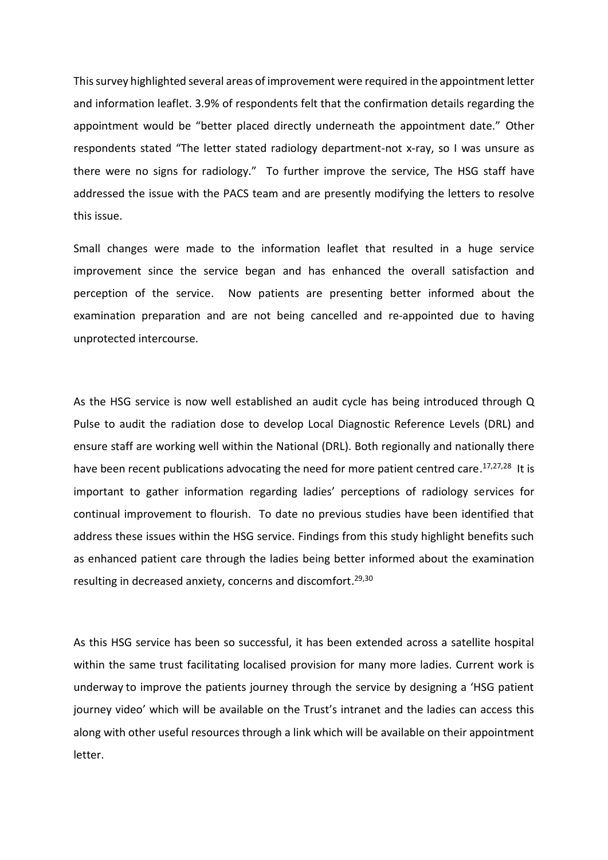This survey highlighted several areas of improvement were required in the appointment letter and information leaflet. 3.9% of respondents felt that the confirmation details regarding the appointment would be "better placed directly underneath the appointment date." Other respondents stated "The letter stated radiology department-not x-ray, so I was unsure as there were no signs for radiology." To further improve the service, The HSG staff have addressed the issue with the PACS team and are presently modifying the letters to resolve this issue.

Small changes were made to the information leaflet that resulted in a huge service improvement since the service began and has enhanced the overall satisfaction and perception of the service. Now patients are presenting better informed about the examination preparation and are not being cancelled and re-appointed due to having unprotected intercourse.

As the HSG service is now well established an audit cycle has being introduced through Q Pulse to audit the radiation dose to develop Local Diagnostic Reference Levels (DRL) and ensure staff are working well within the National (DRL). Both regionally and nationally there have been recent publications advocating the need for more patient centred care.<sup>17,27,28</sup> It is important to gather information regarding ladies' perceptions of radiology services for continual improvement to flourish. To date no previous studies have been identified that address these issues within the HSG service. Findings from this study highlight benefits such as enhanced patient care through the ladies being better informed about the examination resulting in decreased anxiety, concerns and discomfort. 29,30

As this HSG service has been so successful, it has been extended across a satellite hospital within the same trust facilitating localised provision for many more ladies. Current work is underway to improve the patients journey through the service by designing a 'HSG patient journey video' which will be available on the Trust's intranet and the ladies can access this along with other useful resources through a link which will be available on their appointment letter.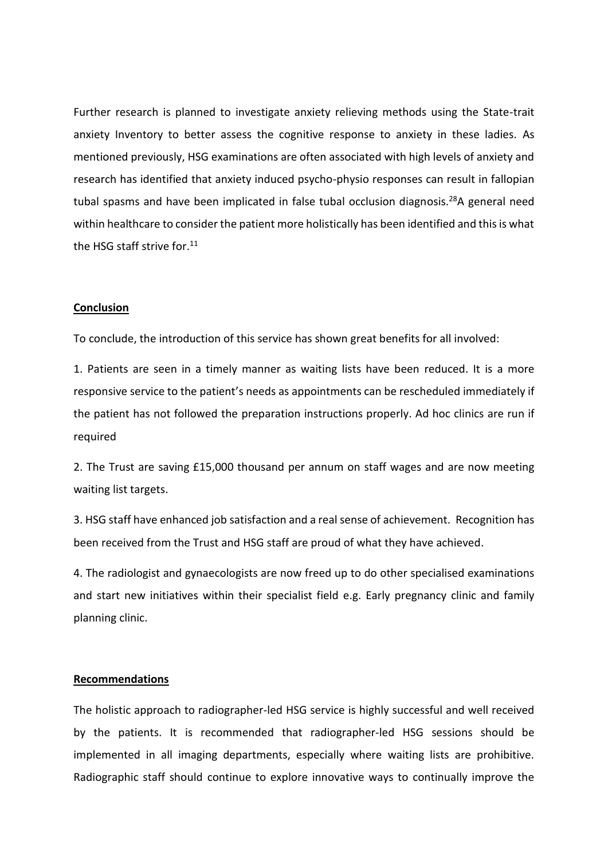Further research is planned to investigate anxiety relieving methods using the State-trait anxiety Inventory to better assess the cognitive response to anxiety in these ladies. As mentioned previously, HSG examinations are often associated with high levels of anxiety and research has identified that anxiety induced psycho-physio responses can result in fallopian tubal spasms and have been implicated in false tubal occlusion diagnosis.<sup>28</sup>A general need within healthcare to consider the patient more holistically has been identified and this is what the HSG staff strive for.<sup>11</sup>

#### **Conclusion**

To conclude, the introduction of this service has shown great benefits for all involved:

1. Patients are seen in a timely manner as waiting lists have been reduced. It is a more responsive service to the patient's needs as appointments can be rescheduled immediately if the patient has not followed the preparation instructions properly. Ad hoc clinics are run if required

2. The Trust are saving £15,000 thousand per annum on staff wages and are now meeting waiting list targets.

3. HSG staff have enhanced job satisfaction and a real sense of achievement. Recognition has been received from the Trust and HSG staff are proud of what they have achieved.

4. The radiologist and gynaecologists are now freed up to do other specialised examinations and start new initiatives within their specialist field e.g. Early pregnancy clinic and family planning clinic.

### **Recommendations**

The holistic approach to radiographer-led HSG service is highly successful and well received by the patients. It is recommended that radiographer-led HSG sessions should be implemented in all imaging departments, especially where waiting lists are prohibitive. Radiographic staff should continue to explore innovative ways to continually improve the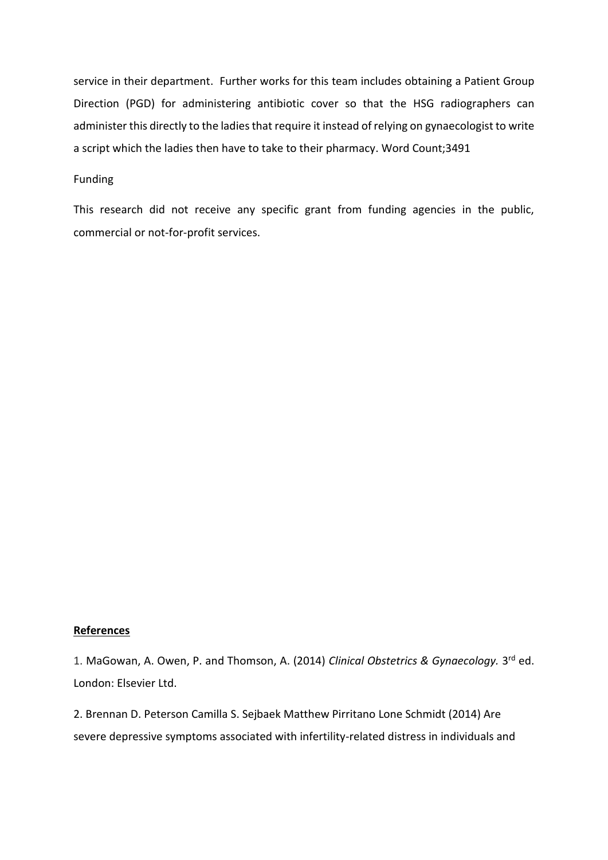service in their department. Further works for this team includes obtaining a Patient Group Direction (PGD) for administering antibiotic cover so that the HSG radiographers can administer this directly to the ladies that require it instead of relying on gynaecologist to write a script which the ladies then have to take to their pharmacy. Word Count;3491

### Funding

This research did not receive any specific grant from funding agencies in the public, commercial or not-for-profit services.

### **References**

1. MaGowan, A. Owen, P. and Thomson, A. (2014) Clinical Obstetrics & Gynaecology. 3<sup>rd</sup> ed. London: Elsevier Ltd.

2. Brennan D. [Peterson](javascript:;) Camilla S. [Sejbaek](javascript:;) [Matthew](javascript:;) Pirritano Lone [Schmidt](javascript:;) (2014) Are severe depressive symptoms associated with infertility-related distress in individuals and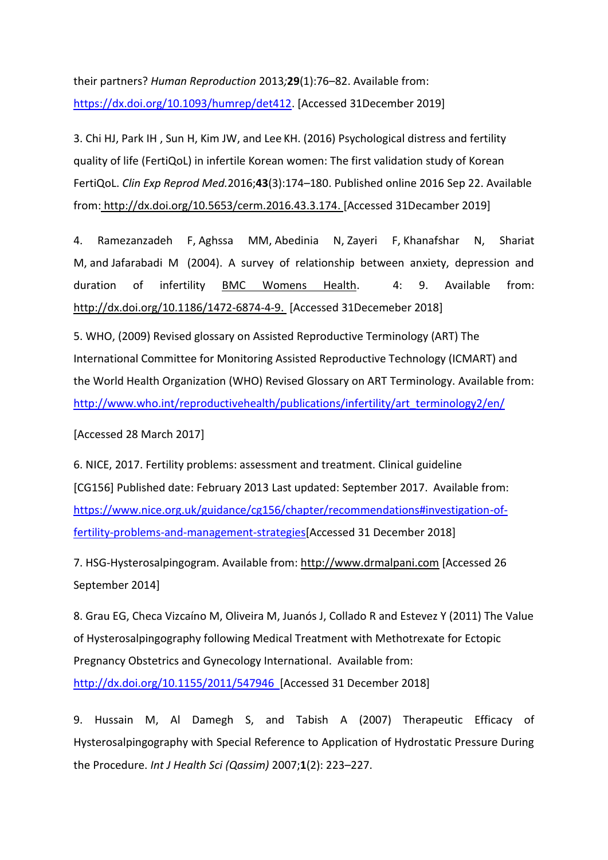their partners? *Human Reproduction* 2013*;***29**(1):76–82. Available from: [https://dx.doi.org/10.1093/humrep/det412.](https://dx.doi.org/10.1093/humrep/det412) [Accessed 31December 2019]

3. [Chi](https://www.ncbi.nlm.nih.gov/pubmed/?term=Chi%20HJ%5BAuthor%5D&cauthor=true&cauthor_uid=27689041) HJ, [Park](https://www.ncbi.nlm.nih.gov/pubmed/?term=Park%20IH%5BAuthor%5D&cauthor=true&cauthor_uid=27689041) IH , [Sun](https://www.ncbi.nlm.nih.gov/pubmed/?term=Sun%20HG%5BAuthor%5D&cauthor=true&cauthor_uid=27689041) H, [Kim](https://www.ncbi.nlm.nih.gov/pubmed/?term=Kim%20JW%5BAuthor%5D&cauthor=true&cauthor_uid=27689041) JW, and [Lee](https://www.ncbi.nlm.nih.gov/pubmed/?term=Lee%20KH%5BAuthor%5D&cauthor=true&cauthor_uid=27689041) KH. (2016) Psychological distress and fertility quality of life (FertiQoL) in infertile Korean women: The first validation study of Korean FertiQoL. *[Clin Exp Reprod Med.](https://www.ncbi.nlm.nih.gov/pmc/articles/PMC5039311/)*2016;**43**(3):174–180. Published online 2016 Sep 22. Available from: http://dx.doi.org[/10.5653/cerm.2016.43.3.174.](https://dx.doi.org/10.5653%2Fcerm.2016.43.3.174) [Accessed 31Decamber 2019]

4. [Ramezanzadeh](https://www.ncbi.nlm.nih.gov/pubmed/?term=Ramezanzadeh%20F%5BAuthor%5D&cauthor=true&cauthor_uid=15530170) F, [Aghssa](https://www.ncbi.nlm.nih.gov/pubmed/?term=Aghssa%20MM%5BAuthor%5D&cauthor=true&cauthor_uid=15530170) MM, [Abedinia](https://www.ncbi.nlm.nih.gov/pubmed/?term=Abedinia%20N%5BAuthor%5D&cauthor=true&cauthor_uid=15530170) N, [Zayeri](https://www.ncbi.nlm.nih.gov/pubmed/?term=Zayeri%20F%5BAuthor%5D&cauthor=true&cauthor_uid=15530170) F, [Khanafshar](https://www.ncbi.nlm.nih.gov/pubmed/?term=Khanafshar%20N%5BAuthor%5D&cauthor=true&cauthor_uid=15530170) N, [Shariat](https://www.ncbi.nlm.nih.gov/pubmed/?term=Shariat%20M%5BAuthor%5D&cauthor=true&cauthor_uid=15530170) M, and [Jafarabadi](https://www.ncbi.nlm.nih.gov/pubmed/?term=Jafarabadi%20M%5BAuthor%5D&cauthor=true&cauthor_uid=15530170) M (2004). A survey of relationship between anxiety, depression and duration of infertility [BMC Womens Health.](https://www.ncbi.nlm.nih.gov/pmc/articles/PMC534113/) 4: 9. Available from: http://dx.doi.org[/10.1186/1472-6874-4-9.](https://dx.doi.org/10.1186%2F1472-6874-4-9) [Accessed 31Decemeber 2018]

5. WHO, (2009) Revised glossary on Assisted Reproductive Terminology (ART) The International Committee for Monitoring Assisted Reproductive Technology (ICMART) and the World Health Organization (WHO) Revised Glossary on ART Terminology. Available from: [http://www.who.int/reproductivehealth/publications/infertility/art\\_terminology2/en/](http://www.who.int/reproductivehealth/publications/infertility/art_terminology2/en/)

[Accessed 28 March 2017]

6. NICE, 2017. Fertility problems: assessment and treatment. Clinical guideline [CG156] Published date: February 2013 Last updated: September 2017. Available from: [https://www.nice.org.uk/guidance/cg156/chapter/recommendations#investigation-of](https://www.nice.org.uk/guidance/cg156/chapter/recommendations#investigation-of-fertility-problems-and-management-strategies)[fertility-problems-and-management-strategies\[](https://www.nice.org.uk/guidance/cg156/chapter/recommendations#investigation-of-fertility-problems-and-management-strategies)Accessed 31 December 2018]

7. HSG-Hysterosalpingogram. Available from: http://www.drmalpani.com [Accessed 26 September 2014]

8. Grau EG, Checa Vizcaíno M, Oliveira M, Juanós J, Collado R and Estevez Y (2011) The Value of Hysterosalpingography following Medical Treatment with Methotrexate for Ectopic Pregnancy Obstetrics and Gynecology International. Available from: <http://dx.doi.org/10.1155/2011/547946> [Accessed 31 December 2018]

9. [Hussain](https://www.ncbi.nlm.nih.gov/pubmed/?term=Hussain%20M%5BAuthor%5D&cauthor=true&cauthor_uid=21475432) M, [Al Damegh](https://www.ncbi.nlm.nih.gov/pubmed/?term=Al%20Damegh%20S%5BAuthor%5D&cauthor=true&cauthor_uid=21475432) S, and [Tabish](https://www.ncbi.nlm.nih.gov/pubmed/?term=Tabish%20A%5BAuthor%5D&cauthor=true&cauthor_uid=21475432) A (2007) Therapeutic Efficacy of Hysterosalpingography with Special Reference to Application of Hydrostatic Pressure During the Procedure. *[Int J Health Sci \(Qassim\)](https://www.ncbi.nlm.nih.gov/pmc/articles/PMC3068637/)* 2007;**1**(2): 223–227.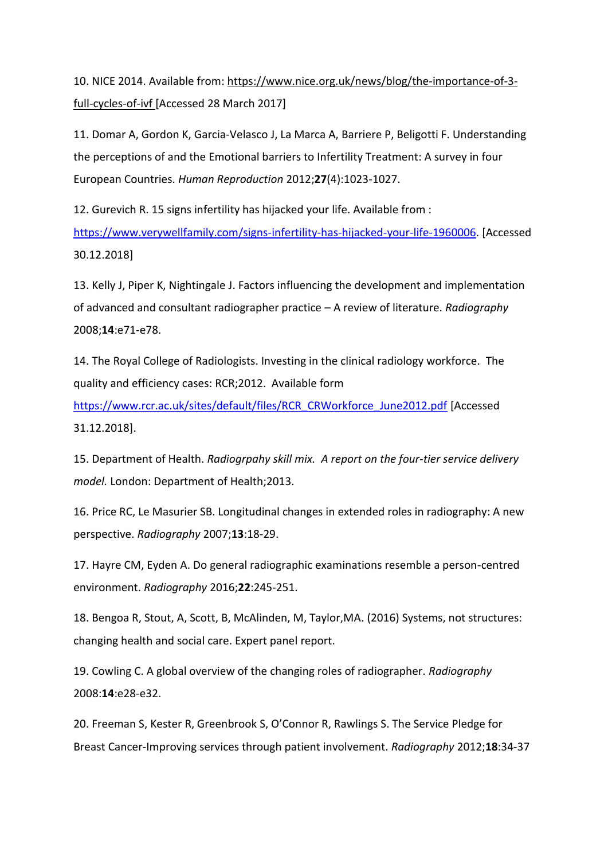10. NICE 2014. Available from: [https://www.nice.org.uk/news/blog/the-importance-of-3](https://www.nice.org.uk/news/blog/the-importance-of-3-full-cycles-of-ivf) [full-cycles-of-ivf](https://www.nice.org.uk/news/blog/the-importance-of-3-full-cycles-of-ivf) [Accessed 28 March 2017]

11. Domar A, Gordon K, Garcia-Velasco J, La Marca A, Barriere P, Beligotti F. Understanding the perceptions of and the Emotional barriers to Infertility Treatment: A survey in four European Countries. *Human Reproduction* 2012;**27**(4):1023-1027.

12. Gurevich R. 15 signs infertility has hijacked your life. Available from : [https://www.verywellfamily.com/signs-infertility-has-hijacked-your-life-1960006.](https://www.verywellfamily.com/signs-infertility-has-hijacked-your-life-1960006) [Accessed 30.12.2018]

13. Kelly J, Piper K, Nightingale J. Factors influencing the development and implementation of advanced and consultant radiographer practice – A review of literature. *Radiography* 2008;**14**:e71-e78.

14. The Royal College of Radiologists. Investing in the clinical radiology workforce. The quality and efficiency cases: RCR;2012. Available form

[https://www.rcr.ac.uk/sites/default/files/RCR\\_CRWorkforce\\_June2012.pdf](https://www.rcr.ac.uk/sites/default/files/RCR_CRWorkforce_June2012.pdf) [Accessed 31.12.2018].

15. Department of Health. *Radiogrpahy skill mix. A report on the four-tier service delivery model.* London: Department of Health;2013.

16. Price RC, Le Masurier SB. Longitudinal changes in extended roles in radiography: A new perspective. *Radiography* 2007;**13**:18-29.

17. Hayre CM, Eyden A. Do general radiographic examinations resemble a person-centred environment. *Radiography* 2016;**22**:245-251.

18. Bengoa R, Stout, A, Scott, B, McAlinden, M, Taylor,MA. (2016) Systems, not structures: changing health and social care. Expert panel report.

19. Cowling C. A global overview of the changing roles of radiographer. *Radiography* 2008:**14**:e28-e32.

20. Freeman S, Kester R, Greenbrook S, O'Connor R, Rawlings S. The Service Pledge for Breast Cancer-Improving services through patient involvement. *Radiography* 2012;**18**:34-37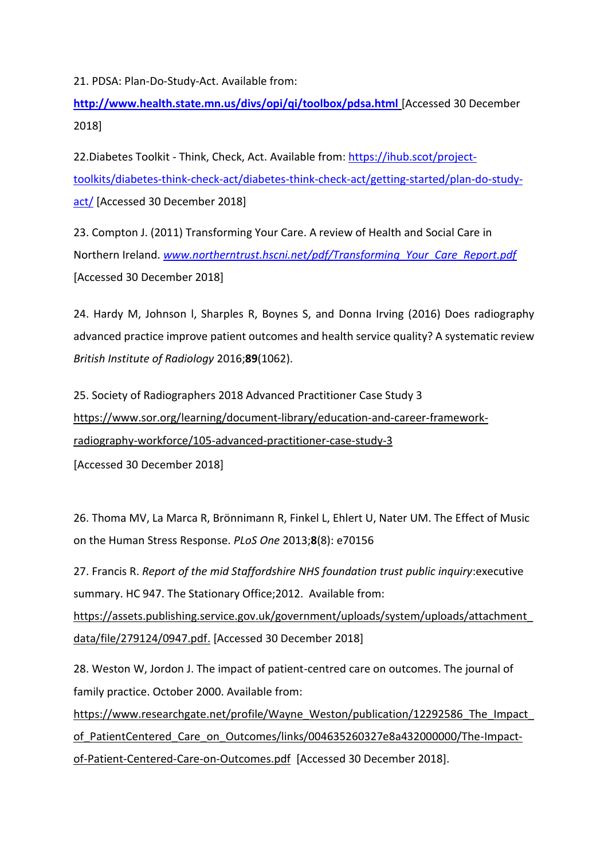21. PDSA: Plan-Do-Study-Act. Available from:

**<http://www.health.state.mn.us/divs/opi/qi/toolbox/pdsa.html>** [Accessed 30 December 2018]

22.Diabetes Toolkit - Think, Check, Act. Available from: [https://ihub.scot/project](https://ihub.scot/project-toolkits/diabetes-think-check-act/diabetes-think-check-act/getting-started/plan-do-study-act/)[toolkits/diabetes-think-check-act/diabetes-think-check-act/getting-started/plan-do-study](https://ihub.scot/project-toolkits/diabetes-think-check-act/diabetes-think-check-act/getting-started/plan-do-study-act/)[act/](https://ihub.scot/project-toolkits/diabetes-think-check-act/diabetes-think-check-act/getting-started/plan-do-study-act/) [Accessed 30 December 2018]

23. Compton J. (2011) Transforming Your Care. A review of Health and Social Care in Northern Ireland. *[www.northerntrust.hscni.net/pdf/Transforming\\_Your\\_Care\\_Report.pdf](http://www.northerntrust.hscni.net/pdf/Transforming_Your_Care_Report.pdf)* [Accessed 30 December 2018]

24. [Hardy](https://www.birpublications.org/author/Hardy%2C+Maryann) M, [Johnson](https://www.birpublications.org/author/Johnson%2C+Louise) l, [Sharples](https://www.birpublications.org/author/Sharples%2C+Rachael) R, [Boynes](https://www.birpublications.org/author/Boynes%2C+Stephen) S, and [Donna Irving](https://www.birpublications.org/author/Irving%2C+Donna) (2016) Does radiography advanced practice improve patient outcomes and health service quality? A systematic review *British Institute of Radiology* 2016;**89**[\(1062\).](https://www.birpublications.org/toc/bjr/89/1062) 

25. Society of Radiographers 2018 Advanced Practitioner Case Study 3 [https://www.sor.org/learning/document-library/education-and-career-framework](https://www.sor.org/learning/document-library/education-and-career-framework-radiography-workforce/105-advanced-practitioner-case-study-3)[radiography-workforce/105-advanced-practitioner-case-study-3](https://www.sor.org/learning/document-library/education-and-career-framework-radiography-workforce/105-advanced-practitioner-case-study-3)

[Accessed 30 December 2018]

26. Thoma MV, La Marca R, Brönnimann R, Finkel L, Ehlert U, Nater UM. The Effect of Music on the Human Stress Response. *PLoS One* 2013;**8**(8): e70156

27. Francis R. *Report of the mid Staffordshire NHS foundation trust public inquiry*:executive summary. HC 947. The Stationary Office;2012. Available from: [https://assets.publishing.service.gov.uk/government/uploads/system/uploads/attachment\\_](https://assets.publishing.service.gov.uk/government/uploads/system/uploads/attachment_data/file/279124/0947.pdf) [data/file/279124/0947.pdf.](https://assets.publishing.service.gov.uk/government/uploads/system/uploads/attachment_data/file/279124/0947.pdf) [Accessed 30 December 2018]

28. Weston W, Jordon J. The impact of patient-centred care on outcomes. The journal of family practice. October 2000. Available from:

[https://www.researchgate.net/profile/Wayne\\_Weston/publication/12292586\\_The\\_Impact\\_](https://www.researchgate.net/profile/Wayne_Weston/publication/12292586_The_Impact_of_PatientCentered_Care_on_Outcomes/links/004635260327e8a432000000/The-Impact-of-Patient-Centered-Care-on-Outcomes.pdf) [of\\_PatientCentered\\_Care\\_on\\_Outcomes/links/004635260327e8a432000000/The-Impact](https://www.researchgate.net/profile/Wayne_Weston/publication/12292586_The_Impact_of_PatientCentered_Care_on_Outcomes/links/004635260327e8a432000000/The-Impact-of-Patient-Centered-Care-on-Outcomes.pdf)[of-Patient-Centered-Care-on-Outcomes.pdf](https://www.researchgate.net/profile/Wayne_Weston/publication/12292586_The_Impact_of_PatientCentered_Care_on_Outcomes/links/004635260327e8a432000000/The-Impact-of-Patient-Centered-Care-on-Outcomes.pdf) [Accessed 30 December 2018].